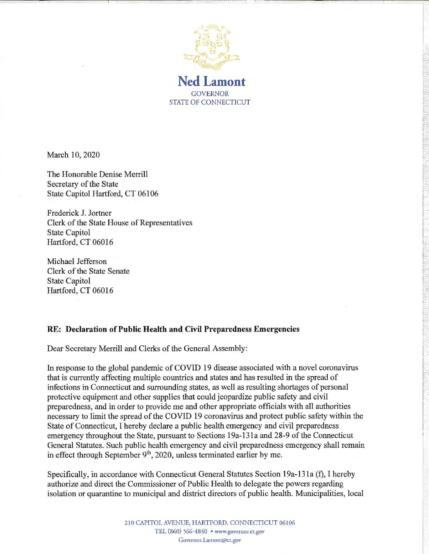

GOVERNOR STATE OF CONNECTICUT

l:

r· ,.· ,. 1--·

March 10, 2020

The Honorable Denise Merrill Secretary of the State State Capitol Hartford, CT 06106

Frederick J. Jortner Clerk of the State House of Representatives State Capitol Hartford, CT 06016

Michael Jefferson Clerk of the State Senate State Capitol Hartford, CT 06016

## **RE: Declaration of Public Health and Civil Preparedness Emergencies**

Dear Secretary Merrill and Clerks of the General Assembly:

In response to the global pandemic of COVID 19 disease associated with a novel coronavirus that is currently affecting multiple countries and states and has resulted in the spread of infections in Connecticut and surrounding states, as well as resulting shortages of personal protective equipment and other supplies that could jeopardize public safety and civil preparedness, and in order to provide me and other appropriate officials with all authorities necessary to limit the spread of the COVID 19 coronavirus and protect public safety within the State of Connecticut, I hereby declare a public health emergency and civil preparedness emergency throughout the State, pursuant to Sections 19a-131 a and 28-9 of the Connecticut General Statutes. Such public health emergency and civil preparedness emergency shall remain in effect through September  $9<sup>th</sup>$ , 2020, unless terminated earlier by me.

Specifically, in accordance with Connecticut General Statutes Section 19a-13 la (f), I hereby authorize and direct the Commissioner of Public Health to delegate the powers regarding isolation or quarantine to municipal and district directors of public health. Municipalities, local